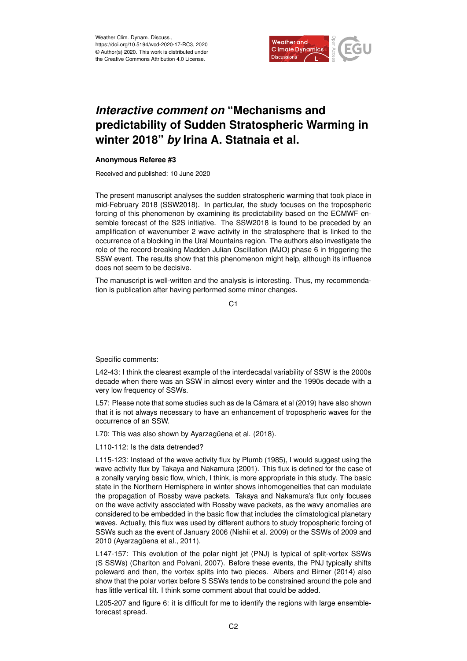

## *Interactive comment on* **"Mechanisms and predictability of Sudden Stratospheric Warming in winter 2018"** *by* **Irina A. Statnaia et al.**

## **Anonymous Referee #3**

Received and published: 10 June 2020

The present manuscript analyses the sudden stratospheric warming that took place in mid-February 2018 (SSW2018). In particular, the study focuses on the tropospheric forcing of this phenomenon by examining its predictability based on the ECMWF ensemble forecast of the S2S initiative. The SSW2018 is found to be preceded by an amplification of wavenumber 2 wave activity in the stratosphere that is linked to the occurrence of a blocking in the Ural Mountains region. The authors also investigate the role of the record-breaking Madden Julian Oscillation (MJO) phase 6 in triggering the SSW event. The results show that this phenomenon might help, although its influence does not seem to be decisive.

The manuscript is well-written and the analysis is interesting. Thus, my recommendation is publication after having performed some minor changes.

C<sub>1</sub>

Specific comments:

L42-43: I think the clearest example of the interdecadal variability of SSW is the 2000s decade when there was an SSW in almost every winter and the 1990s decade with a very low frequency of SSWs.

L57: Please note that some studies such as de la Cámara et al (2019) have also shown that it is not always necessary to have an enhancement of tropospheric waves for the occurrence of an SSW.

L70: This was also shown by Ayarzagüena et al. (2018).

L110-112: Is the data detrended?

L115-123: Instead of the wave activity flux by Plumb (1985), I would suggest using the wave activity flux by Takaya and Nakamura (2001). This flux is defined for the case of a zonally varying basic flow, which, I think, is more appropriate in this study. The basic state in the Northern Hemisphere in winter shows inhomogeneities that can modulate the propagation of Rossby wave packets. Takaya and Nakamura's flux only focuses on the wave activity associated with Rossby wave packets, as the wavy anomalies are considered to be embedded in the basic flow that includes the climatological planetary waves. Actually, this flux was used by different authors to study tropospheric forcing of SSWs such as the event of January 2006 (Nishii et al. 2009) or the SSWs of 2009 and 2010 (Ayarzagüena et al., 2011).

L147-157: This evolution of the polar night jet (PNJ) is typical of split-vortex SSWs (S SSWs) (Charlton and Polvani, 2007). Before these events, the PNJ typically shifts poleward and then, the vortex splits into two pieces. Albers and Birner (2014) also show that the polar vortex before S SSWs tends to be constrained around the pole and has little vertical tilt. I think some comment about that could be added.

L205-207 and figure 6: it is difficult for me to identify the regions with large ensembleforecast spread.